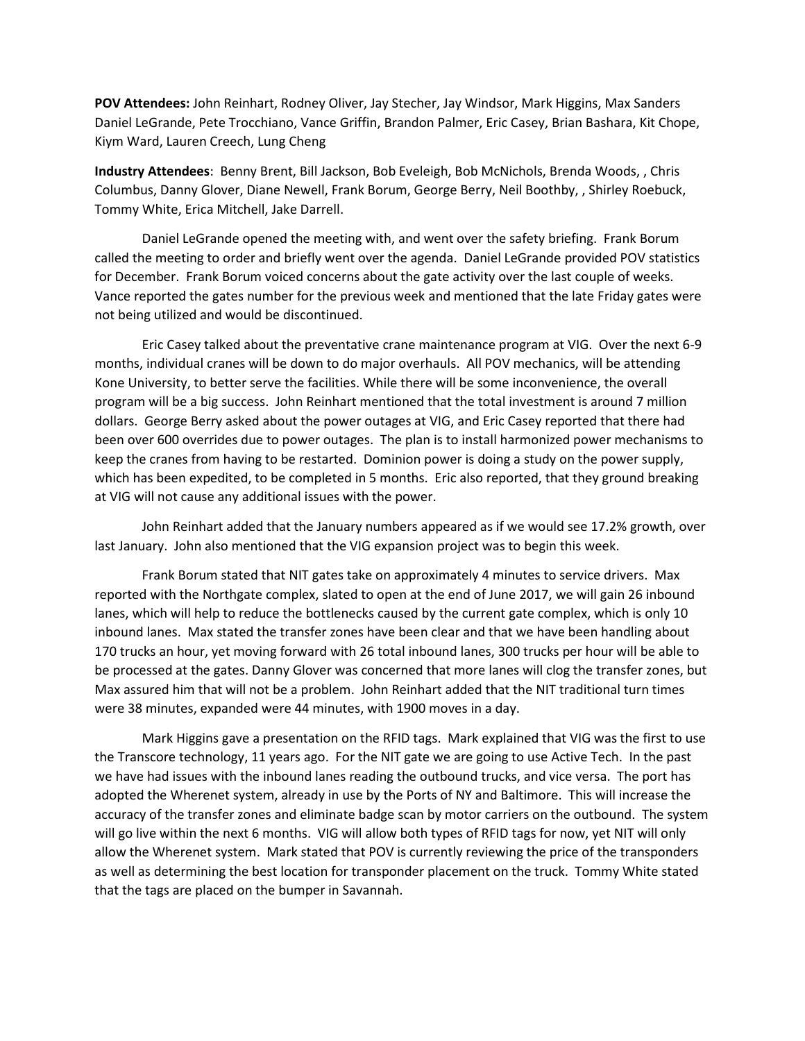**POV Attendees:** John Reinhart, Rodney Oliver, Jay Stecher, Jay Windsor, Mark Higgins, Max Sanders Daniel LeGrande, Pete Trocchiano, Vance Griffin, Brandon Palmer, Eric Casey, Brian Bashara, Kit Chope, Kiym Ward, Lauren Creech, Lung Cheng

**Industry Attendees**: Benny Brent, Bill Jackson, Bob Eveleigh, Bob McNichols, Brenda Woods, , Chris Columbus, Danny Glover, Diane Newell, Frank Borum, George Berry, Neil Boothby, , Shirley Roebuck, Tommy White, Erica Mitchell, Jake Darrell.

Daniel LeGrande opened the meeting with, and went over the safety briefing. Frank Borum called the meeting to order and briefly went over the agenda. Daniel LeGrande provided POV statistics for December. Frank Borum voiced concerns about the gate activity over the last couple of weeks. Vance reported the gates number for the previous week and mentioned that the late Friday gates were not being utilized and would be discontinued.

Eric Casey talked about the preventative crane maintenance program at VIG. Over the next 6-9 months, individual cranes will be down to do major overhauls. All POV mechanics, will be attending Kone University, to better serve the facilities. While there will be some inconvenience, the overall program will be a big success. John Reinhart mentioned that the total investment is around 7 million dollars. George Berry asked about the power outages at VIG, and Eric Casey reported that there had been over 600 overrides due to power outages. The plan is to install harmonized power mechanisms to keep the cranes from having to be restarted. Dominion power is doing a study on the power supply, which has been expedited, to be completed in 5 months. Eric also reported, that they ground breaking at VIG will not cause any additional issues with the power.

John Reinhart added that the January numbers appeared as if we would see 17.2% growth, over last January. John also mentioned that the VIG expansion project was to begin this week.

Frank Borum stated that NIT gates take on approximately 4 minutes to service drivers. Max reported with the Northgate complex, slated to open at the end of June 2017, we will gain 26 inbound lanes, which will help to reduce the bottlenecks caused by the current gate complex, which is only 10 inbound lanes. Max stated the transfer zones have been clear and that we have been handling about 170 trucks an hour, yet moving forward with 26 total inbound lanes, 300 trucks per hour will be able to be processed at the gates. Danny Glover was concerned that more lanes will clog the transfer zones, but Max assured him that will not be a problem. John Reinhart added that the NIT traditional turn times were 38 minutes, expanded were 44 minutes, with 1900 moves in a day.

Mark Higgins gave a presentation on the RFID tags. Mark explained that VIG was the first to use the Transcore technology, 11 years ago. For the NIT gate we are going to use Active Tech. In the past we have had issues with the inbound lanes reading the outbound trucks, and vice versa. The port has adopted the Wherenet system, already in use by the Ports of NY and Baltimore. This will increase the accuracy of the transfer zones and eliminate badge scan by motor carriers on the outbound. The system will go live within the next 6 months. VIG will allow both types of RFID tags for now, yet NIT will only allow the Wherenet system. Mark stated that POV is currently reviewing the price of the transponders as well as determining the best location for transponder placement on the truck. Tommy White stated that the tags are placed on the bumper in Savannah.